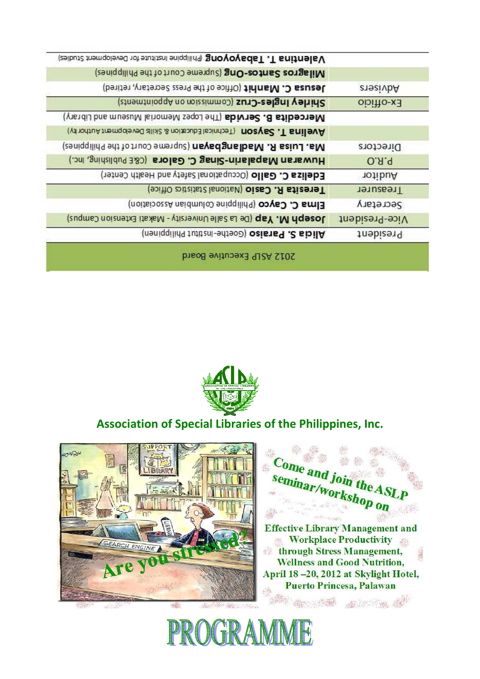



**Effective Library Management and Workplace Productivity** through Stress Management, **Wellness and Good Nutrition,** April 18 - 20, 2012 at Skylight Hotel, **Puerto Princesa, Palawan** 

Come and join the A. seminar/workshop on **SEC** 

## **Association of Special Libraries of the Philippines, Inc.**



|                       | Valentina T. Tabayoyong phippine Institute for Development Studies) |
|-----------------------|---------------------------------------------------------------------|
|                       | Milagros Santos-Ong (Supreme Court of the Philippines)              |
| ensaivbA              | Jesusa C. Manhit (Office of the Press Secretary, retired)           |
| $0$ ibiHo-x $\exists$ | Shirley Ingles-Cruz (Commission on Appointments)                    |
|                       | (yisidi) bns museuM lainomeM seqoJ edT) sbivreC. 8 stibeoreM        |
|                       | (VinorituA trempdeved alist & noitsub3 labinda) nozys2 .T snilevA   |
| <b>Directors</b>      | (zeniqqilid9 edi 10 truo3 emerque) nsysdansibsM .A ssiul .sM        |
| O.A.q                 | Huwaran Mapalarin-Sinag C. Galora (C&E Publishing, Inc.)            |
| notibuA               | Edeliza C. Gallo (Occupational Safety and Health Center)            |
| Treasurer             | Teresita R. Casio (National Statistic Office)                       |
| Secretary             | Elma C. Cayco (Philippine Columbian Association)                    |
| Vice-President        | Joseph M. Yap (De La Salle University - Makati Extension Campus)    |
| <b>Jnebizen4</b>      | (neniqqilidq tutitzni-edteoD) osists9.2 sibilA                      |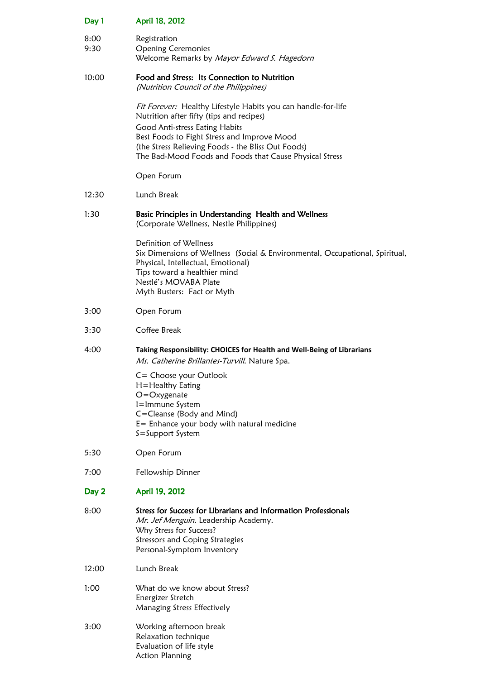| Day 1        | April 18, 2012                                                                                                                                                                                                                                                                                              |
|--------------|-------------------------------------------------------------------------------------------------------------------------------------------------------------------------------------------------------------------------------------------------------------------------------------------------------------|
| 8:00<br>9:30 | Registration<br><b>Opening Ceremonies</b><br>Welcome Remarks by Mayor Edward S. Hagedorn                                                                                                                                                                                                                    |
| 10:00        | Food and Stress: Its Connection to Nutrition<br>(Nutrition Council of the Philippines)                                                                                                                                                                                                                      |
|              | Fit Forever: Healthy Lifestyle Habits you can handle-for-life<br>Nutrition after fifty (tips and recipes)<br>Good Anti-stress Eating Habits<br>Best Foods to Fight Stress and Improve Mood<br>(the Stress Relieving Foods - the Bliss Out Foods)<br>The Bad-Mood Foods and Foods that Cause Physical Stress |
|              | Open Forum                                                                                                                                                                                                                                                                                                  |
| 12:30        | Lunch Break                                                                                                                                                                                                                                                                                                 |
| 1:30         | Basic Principles in Understanding Health and Wellness<br>(Corporate Wellness, Nestle Philippines)                                                                                                                                                                                                           |
|              | Definition of Wellness<br>Six Dimensions of Wellness (Social & Environmental, Occupational, Spiritual,<br>Physical, Intellectual, Emotional)<br>Tips toward a healthier mind<br>Nestlé's MOVABA Plate<br>Myth Busters: Fact or Myth                                                                         |
| 3:00         | Open Forum                                                                                                                                                                                                                                                                                                  |
| 3:30         | Coffee Break                                                                                                                                                                                                                                                                                                |
| 4:00         | Taking Responsibility: CHOICES for Health and Well-Being of Librarians<br>Ms. Catherine Brillantes-Turvill. Nature Spa.                                                                                                                                                                                     |
|              | C= Choose your Outlook<br>H=Healthy Eating<br>$O = O$ xygenate<br>I=Immune System<br>C=Cleanse (Body and Mind)<br>$E =$ Enhance your body with natural medicine<br>S=Support System                                                                                                                         |
| 5:30         | Open Forum                                                                                                                                                                                                                                                                                                  |
| 7:00         | Fellowship Dinner                                                                                                                                                                                                                                                                                           |
| Day 2        | April 19, 2012                                                                                                                                                                                                                                                                                              |
| 8:00         | Stress for Success for Librarians and Information Professionals<br>Mr. Jef Menguin. Leadership Academy.<br>Why Stress for Success?<br><b>Stressors and Coping Strategies</b><br>Personal-Symptom Inventory                                                                                                  |
| 12:00        | Lunch Break                                                                                                                                                                                                                                                                                                 |
| 1:00         | What do we know about Stress?<br>Energizer Stretch<br>Managing Stress Effectively                                                                                                                                                                                                                           |
| 3:00         | Working afternoon break<br>Relaxation technique<br>Evaluation of life style<br><b>Action Planning</b>                                                                                                                                                                                                       |
|              |                                                                                                                                                                                                                                                                                                             |